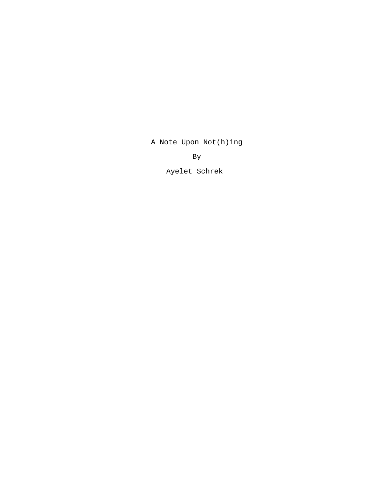A Note Upon Not(h)ing

Bу

Ayelet Schrek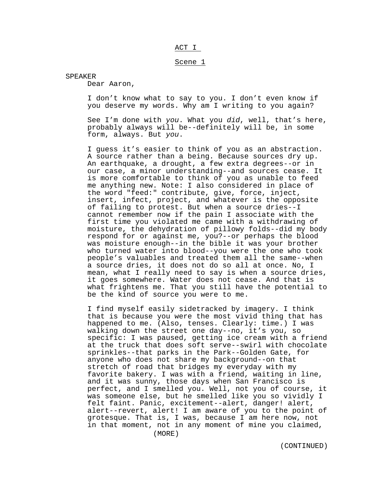## ACT I

## Scene 1

## SPEAKER

Dear Aaron,

I don't know what to say to you. I don't even know if you deserve my words. Why am I writing to you again?

See I'm done with *you*. What you *did*, well, that's here, probably always will be--definitely will be, in some form, always. But *you*.

I guess it's easier to think of you as an abstraction. A source rather than a being. Because sources dry up. An earthquake, a drought, a few extra degrees--or in our case, a minor understanding--and sources cease. It is more comfortable to think of you as unable to feed me anything new. Note: I also considered in place of the word "feed:" contribute, give, force, inject, insert, infect, project, and whatever is the opposite of failing to protest. But when a source dries--I cannot remember now if the pain I associate with the first time you violated me came with a withdrawing of moisture, the dehydration of pillowy folds--did my body respond for or against me, you?--or perhaps the blood was moisture enough--in the bible it was your brother who turned water into blood--you were the one who took people's valuables and treated them all the same--when a source dries, it does not do so all at once. No, I mean, what I really need to say is when a source dries, it goes somewhere. Water does not cease. And that is what frightens me. That you still have the potential to be the kind of source you were to me.

I find myself easily sidetracked by imagery. I think that is because you were the most vivid thing that has happened to me. (Also, tenses. Clearly: time.) I was walking down the street one day--no, it's you, so specific: I was paused, getting ice cream with a friend at the truck that does soft serve--swirl with chocolate sprinkles--that parks in the Park--Golden Gate, for anyone who does not share my background--on that stretch of road that bridges my everyday with my favorite bakery. I was with a friend, waiting in line, and it was sunny, those days when San Francisco is perfect, and I smelled you. Well, not you of course, it was someone else, but he smelled like you so vividly I felt faint. Panic, excitement--alert, danger! alert, alert--revert, alert! I am aware of you to the point of grotesque. That is, I was, because I am here now, not in that moment, not in any moment of mine you claimed, (MORE)

(CONTINUED)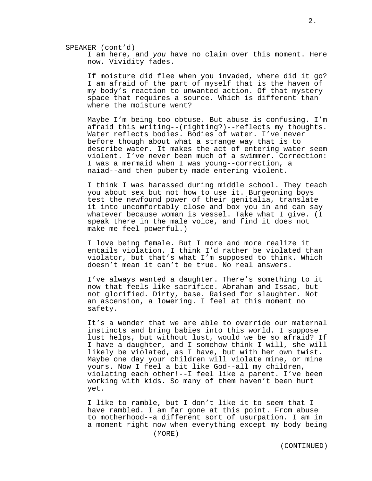SPEAKER (cont'd)

I am here, and *you* have no claim over this moment. Here now. Vividity fades.

If moisture did flee when you invaded, where did it go? I am afraid of the part of myself that is the haven of my body's reaction to unwanted action. Of that mystery space that requires a source. Which is different than where the moisture went?

Maybe I'm being too obtuse. But abuse is confusing. I'm afraid this writing--(righting?)--reflects my thoughts. Water reflects bodies. Bodies of water. I've never before though about what a strange way that is to describe water. It makes the act of entering water seem violent. I've never been much of a swimmer. Correction: I was a mermaid when I was young--correction, a naiad--and then puberty made entering violent.

I think I was harassed during middle school. They teach you about sex but not how to use it. Burgeoning boys test the newfound power of their genitalia, translate it into uncomfortably close and box you in and can say whatever because woman is vessel. Take what I give. (I speak there in the male voice, and find it does not make me feel powerful.)

I love being female. But I more and more realize it entails violation. I think I'd rather be violated than violator, but that's what I'm supposed to think. Which doesn't mean it can't be true. No real answers.

I've always wanted a daughter. There's something to it now that feels like sacrifice. Abraham and Issac, but not glorified. Dirty, base. Raised for slaughter. Not an ascension, a lowering. I feel at this moment no safety.

It's a wonder that we are able to override our maternal instincts and bring babies into this world. I suppose lust helps, but without lust, would we be so afraid? If I have a daughter, and I somehow think I will, she will likely be violated, as I have, but with her own twist. Maybe one day your children will violate mine, or mine yours. Now I feel a bit like God--all my children, violating each other!--I feel like a parent. I've been working with kids. So many of them haven't been hurt yet.

I like to ramble, but I don't like it to seem that I have rambled. I am far gone at this point. From abuse to motherhood--a different sort of usurpation. I am in a moment right now when everything except my body being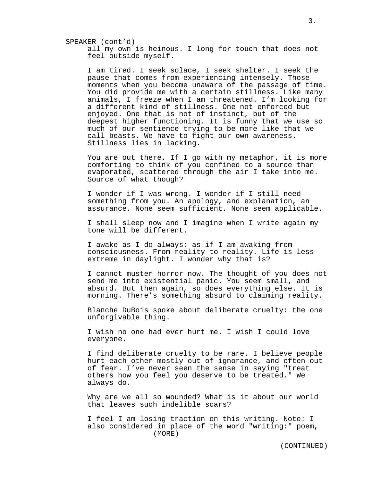SPEAKER (cont'd)

all my own is heinous. I long for touch that does not feel outside myself.

I am tired. I seek solace, I seek shelter. I seek the pause that comes from experiencing intensely. Those moments when you become unaware of the passage of time. You did provide me with a certain stillness. Like many animals, I freeze when I am threatened. I'm looking for a different kind of stillness. One not enforced but enjoyed. One that is not of instinct, but of the deepest higher functioning. It is funny that we use so much of our sentience trying to be more like that we call beasts. We have to fight our own awareness. Stillness lies in lacking.

You are out there. If I go with my metaphor, it is more comforting to think of you confined to a source than evaporated, scattered through the air I take into me. Source of what though?

I wonder if I was wrong. I wonder if I still need something from you. An apology, and explanation, an assurance. None seem sufficient. None seem applicable.

I shall sleep now and I imagine when I write again my tone will be different.

I awake as I do always: as if I am awaking from consciousness. From reality to reality. Life is less extreme in daylight. I wonder why that is?

I cannot muster horror now. The thought of you does not send me into existential panic. You seem small, and absurd. But then again, so does everything else. It is morning. There's something absurd to claiming reality.

Blanche DuBois spoke about deliberate cruelty: the one unforgivable thing.

I wish no one had ever hurt me. I wish I could love everyone.

I find deliberate cruelty to be rare. I believe people hurt each other mostly out of ignorance, and often out of fear. I've never seen the sense in saying "treat others how you feel you deserve to be treated." We always do.

Why are we all so wounded? What is it about our world that leaves such indelible scars?

I feel I am losing traction on this writing. Note: I also considered in place of the word "writing:" poem, (MORE)